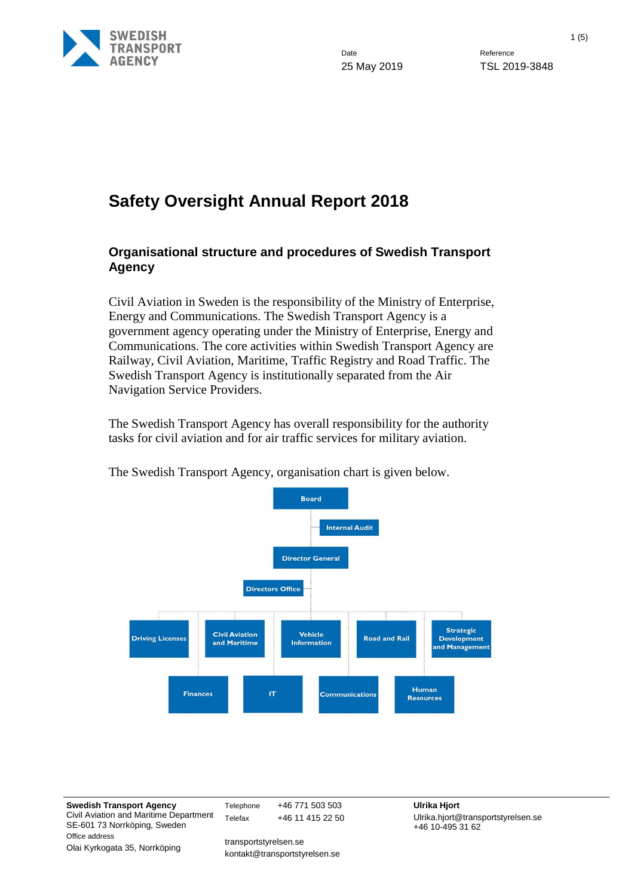

Date Reference

25 May 2019 TSL 2019-3848

# **Safety Oversight Annual Report 2018**

#### **Organisational structure and procedures of Swedish Transport Agency**

Civil Aviation in Sweden is the responsibility of the Ministry of Enterprise, Energy and Communications. The Swedish Transport Agency is a government agency operating under the Ministry of Enterprise, Energy and Communications. The core activities within Swedish Transport Agency are Railway, Civil Aviation, Maritime, Traffic Registry and Road Traffic. The Swedish Transport Agency is institutionally separated from the Air Navigation Service Providers.

The Swedish Transport Agency has overall responsibility for the authority tasks for civil aviation and for air traffic services for military aviation.



The Swedish Transport Agency, organisation chart is given below.

**Swedish Transport Agency** Civil Aviation and Maritime Department SE-601 73 Norrköping, Sweden Office address Olai Kyrkogata 35, Norrköping

Telephone +46 771 503 503 **Ulrika Hjort** Telefax +46 11 415 22 50

transportstyrelsen.se kontakt@transportstyrelsen.se Ulrika.hjort@transportstyrelsen.se +46 10-495 31 62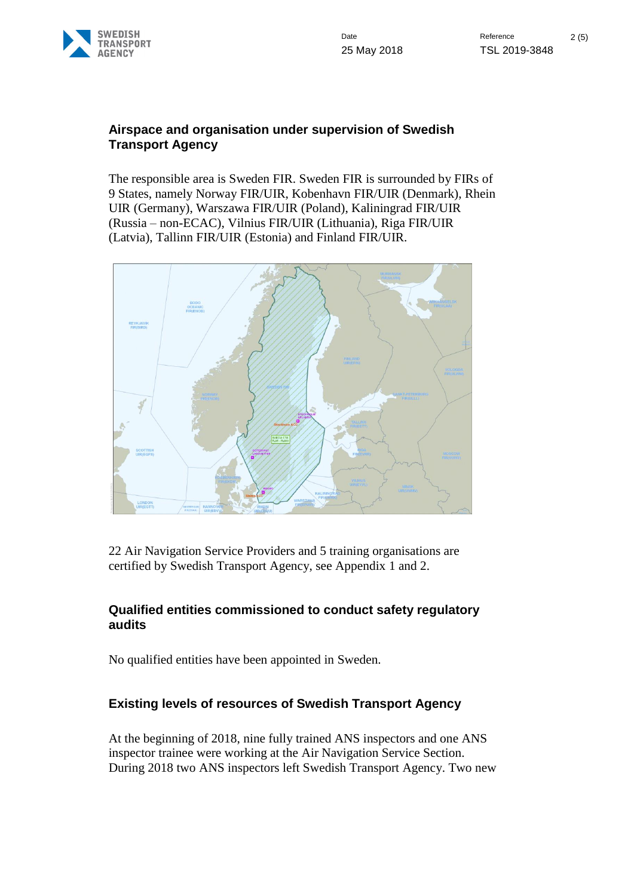

#### **Airspace and organisation under supervision of Swedish Transport Agency**

The responsible area is Sweden FIR. Sweden FIR is surrounded by FIRs of 9 States, namely Norway FIR/UIR, Kobenhavn FIR/UIR (Denmark), Rhein UIR (Germany), Warszawa FIR/UIR (Poland), Kaliningrad FIR/UIR (Russia – non-ECAC), Vilnius FIR/UIR (Lithuania), Riga FIR/UIR (Latvia), Tallinn FIR/UIR (Estonia) and Finland FIR/UIR.



22 Air Navigation Service Providers and 5 training organisations are certified by Swedish Transport Agency, see Appendix 1 and 2.

## **Qualified entities commissioned to conduct safety regulatory audits**

No qualified entities have been appointed in Sweden.

## **Existing levels of resources of Swedish Transport Agency**

At the beginning of 2018, nine fully trained ANS inspectors and one ANS inspector trainee were working at the Air Navigation Service Section. During 2018 two ANS inspectors left Swedish Transport Agency. Two new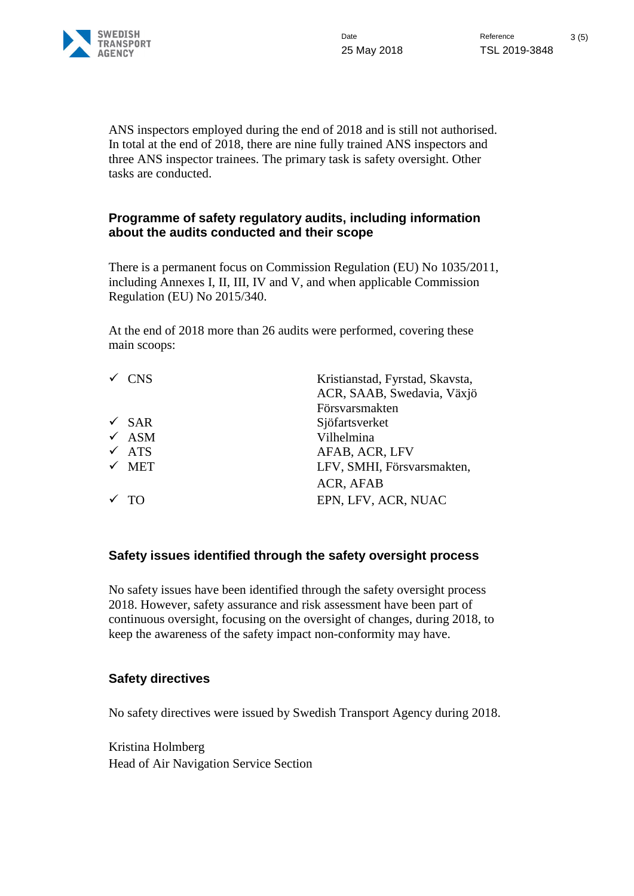

ANS inspectors employed during the end of 2018 and is still not authorised. In total at the end of 2018, there are nine fully trained ANS inspectors and three ANS inspector trainees. The primary task is safety oversight. Other tasks are conducted.

#### **Programme of safety regulatory audits, including information about the audits conducted and their scope**

There is a permanent focus on Commission Regulation (EU) No 1035/2011, including Annexes I, II, III, IV and V, and when applicable Commission Regulation (EU) No 2015/340.

At the end of 2018 more than 26 audits were performed, covering these main scoops:

| $\checkmark$ CNS | Kristianstad, Fyrstad, Skavsta, |
|------------------|---------------------------------|
|                  | ACR, SAAB, Swedavia, Växjö      |
|                  | Försvarsmakten                  |
| $\sqrt{SAR}$     | Sjöfartsverket                  |
| $\times$ ASM     | Vilhelmina                      |
| $\times$ ATS     | AFAB, ACR, LFV                  |
| $\times$ MET     | LFV, SMHI, Försvarsmakten,      |
|                  | ACR, AFAB                       |
| $\sqrt{70}$      | EPN, LFV, ACR, NUAC             |
|                  |                                 |

## **Safety issues identified through the safety oversight process**

No safety issues have been identified through the safety oversight process 2018. However, safety assurance and risk assessment have been part of continuous oversight, focusing on the oversight of changes, during 2018, to keep the awareness of the safety impact non-conformity may have.

#### **Safety directives**

No safety directives were issued by Swedish Transport Agency during 2018.

Kristina Holmberg Head of Air Navigation Service Section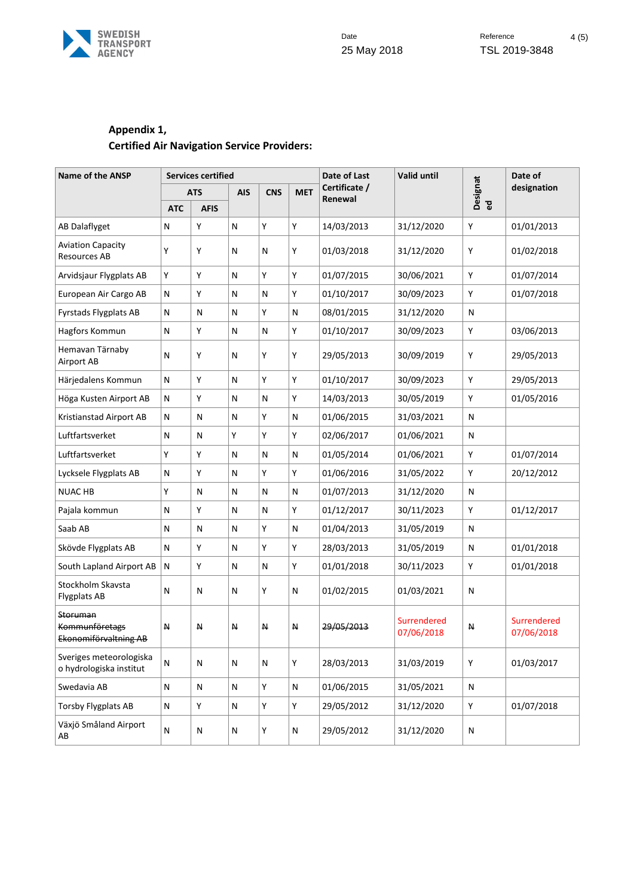

## **Appendix 1, Certified Air Navigation Service Providers:**

| <b>Name of the ANSP</b>                                    | <b>Services certified</b> |             |                          |              |                          | Date of Last | <b>Valid until</b>        |              | Date of                   |
|------------------------------------------------------------|---------------------------|-------------|--------------------------|--------------|--------------------------|--------------|---------------------------|--------------|---------------------------|
|                                                            | <b>ATS</b>                |             | <b>CNS</b><br><b>AIS</b> | <b>MET</b>   | Certificate /<br>Renewal |              | Designat                  | designation  |                           |
|                                                            | <b>ATC</b>                | <b>AFIS</b> |                          |              |                          |              |                           | ිත<br>ම      |                           |
| AB Dalaflyget                                              | N                         | Y           | N                        | Y            | Υ                        | 14/03/2013   | 31/12/2020                | Υ            | 01/01/2013                |
| <b>Aviation Capacity</b><br>Resources AB                   | Y                         | Υ           | N                        | N            | Υ                        | 01/03/2018   | 31/12/2020                | Υ            | 01/02/2018                |
| Arvidsjaur Flygplats AB                                    | Υ                         | Υ           | N                        | Υ            | Y                        | 01/07/2015   | 30/06/2021                | Υ            | 01/07/2014                |
| European Air Cargo AB                                      | $\mathsf{N}$              | Y           | N                        | $\mathsf{N}$ | Υ                        | 01/10/2017   | 30/09/2023                | Y            | 01/07/2018                |
| <b>Fyrstads Flygplats AB</b>                               | N                         | N           | N                        | Y            | $\mathsf{N}$             | 08/01/2015   | 31/12/2020                | $\mathsf{N}$ |                           |
| Hagfors Kommun                                             | N                         | Υ           | N                        | N            | Υ                        | 01/10/2017   | 30/09/2023                | Υ            | 03/06/2013                |
| Hemavan Tärnaby<br>Airport AB                              | N                         | Υ           | Ν                        | Y            | Υ                        | 29/05/2013   | 30/09/2019                | Υ            | 29/05/2013                |
| Härjedalens Kommun                                         | $\mathsf{N}$              | Y           | N                        | Υ            | Υ                        | 01/10/2017   | 30/09/2023                | Υ            | 29/05/2013                |
| Höga Kusten Airport AB                                     | N                         | Υ           | N                        | N            | Y                        | 14/03/2013   | 30/05/2019                | Y            | 01/05/2016                |
| Kristianstad Airport AB                                    | N                         | Ν           | Ν                        | Y            | $\mathsf{N}$             | 01/06/2015   | 31/03/2021                | N            |                           |
| Luftfartsverket                                            | N                         | N           | Y                        | Υ            | Υ                        | 02/06/2017   | 01/06/2021                | N            |                           |
| Luftfartsverket                                            | Y                         | Υ           | N                        | N            | $\mathsf{N}$             | 01/05/2014   | 01/06/2021                | Υ            | 01/07/2014                |
| Lycksele Flygplats AB                                      | N                         | Υ           | N                        | Y            | Υ                        | 01/06/2016   | 31/05/2022                | Υ            | 20/12/2012                |
| <b>NUAC HB</b>                                             | Υ                         | N           | N                        | N            | $\mathsf{N}$             | 01/07/2013   | 31/12/2020                | N            |                           |
| Pajala kommun                                              | N                         | Y           | N                        | N            | Y                        | 01/12/2017   | 30/11/2023                | Y            | 01/12/2017                |
| Saab AB                                                    | N                         | N           | Ν                        | Y            | $\mathsf{N}$             | 01/04/2013   | 31/05/2019                | N            |                           |
| Skövde Flygplats AB                                        | N                         | Y           | N                        | Y            | Υ                        | 28/03/2013   | 31/05/2019                | N            | 01/01/2018                |
| South Lapland Airport AB                                   | N                         | Y           | N                        | N            | Υ                        | 01/01/2018   | 30/11/2023                | Υ            | 01/01/2018                |
| Stockholm Skavsta<br><b>Flygplats AB</b>                   | N                         | N           | N                        | Y            | $\mathsf{N}$             | 01/02/2015   | 01/03/2021                | $\mathsf{N}$ |                           |
| Storuman<br><b>Kommunföretags</b><br>Ekonomiförvaltning AB | $\mathsf N$               | N           | Ν                        | И            | N                        | 29/05/2013   | Surrendered<br>07/06/2018 | н            | Surrendered<br>07/06/2018 |
| Sveriges meteorologiska<br>o hydrologiska institut         | N                         | N           | Ν                        | N            | Υ                        | 28/03/2013   | 31/03/2019                | Υ            | 01/03/2017                |
| Swedavia AB                                                | N                         | N           | N                        | Y            | $\mathsf{N}$             | 01/06/2015   | 31/05/2021                | N            |                           |
| <b>Torsby Flygplats AB</b>                                 | N                         | Υ           | N                        | Υ            | Υ                        | 29/05/2012   | 31/12/2020                | Υ            | 01/07/2018                |
| Växjö Småland Airport<br>AB                                | N                         | N           | N                        | Υ            | ${\sf N}$                | 29/05/2012   | 31/12/2020                | ${\sf N}$    |                           |